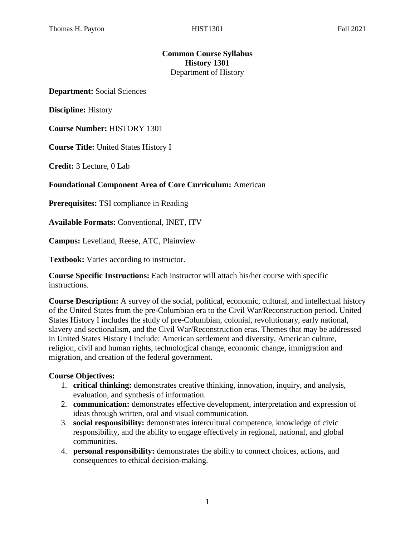# **Common Course Syllabus History 1301** Department of History

**Department:** Social Sciences

**Discipline:** History

**Course Number:** HISTORY 1301

**Course Title:** United States History I

**Credit:** 3 Lecture, 0 Lab

#### **Foundational Component Area of Core Curriculum:** American

**Prerequisites:** TSI compliance in Reading

**Available Formats:** Conventional, INET, ITV

**Campus:** Levelland, Reese, ATC, Plainview

**Textbook:** Varies according to instructor.

**Course Specific Instructions:** Each instructor will attach his/her course with specific instructions.

**Course Description:** A survey of the social, political, economic, cultural, and intellectual history of the United States from the pre-Columbian era to the Civil War/Reconstruction period. United States History I includes the study of pre-Columbian, colonial, revolutionary, early national, slavery and sectionalism, and the Civil War/Reconstruction eras. Themes that may be addressed in United States History I include: American settlement and diversity, American culture, religion, civil and human rights, technological change, economic change, immigration and migration, and creation of the federal government.

#### **Course Objectives:**

- 1. **critical thinking:** demonstrates creative thinking, innovation, inquiry, and analysis, evaluation, and synthesis of information.
- 2. **communication:** demonstrates effective development, interpretation and expression of ideas through written, oral and visual communication.
- 3. **social responsibility:** demonstrates intercultural competence, knowledge of civic responsibility, and the ability to engage effectively in regional, national, and global communities.
- 4. **personal responsibility:** demonstrates the ability to connect choices, actions, and consequences to ethical decision-making.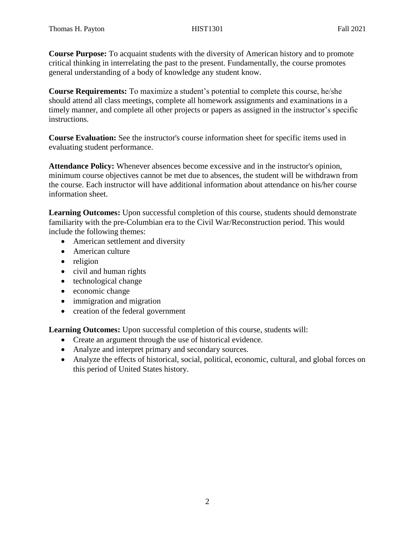**Course Purpose:** To acquaint students with the diversity of American history and to promote critical thinking in interrelating the past to the present. Fundamentally, the course promotes general understanding of a body of knowledge any student know.

**Course Requirements:** To maximize a student's potential to complete this course, he/she should attend all class meetings, complete all homework assignments and examinations in a timely manner, and complete all other projects or papers as assigned in the instructor's specific instructions.

**Course Evaluation:** See the instructor's course information sheet for specific items used in evaluating student performance.

**Attendance Policy:** Whenever absences become excessive and in the instructor's opinion, minimum course objectives cannot be met due to absences, the student will be withdrawn from the course. Each instructor will have additional information about attendance on his/her course information sheet.

**Learning Outcomes:** Upon successful completion of this course, students should demonstrate familiarity with the pre-Columbian era to the Civil War/Reconstruction period. This would include the following themes:

- American settlement and diversity
- American culture
- religion
- civil and human rights
- technological change
- economic change
- immigration and migration
- creation of the federal government

**Learning Outcomes:** Upon successful completion of this course, students will:

- Create an argument through the use of historical evidence.
- Analyze and interpret primary and secondary sources.
- Analyze the effects of historical, social, political, economic, cultural, and global forces on this period of United States history.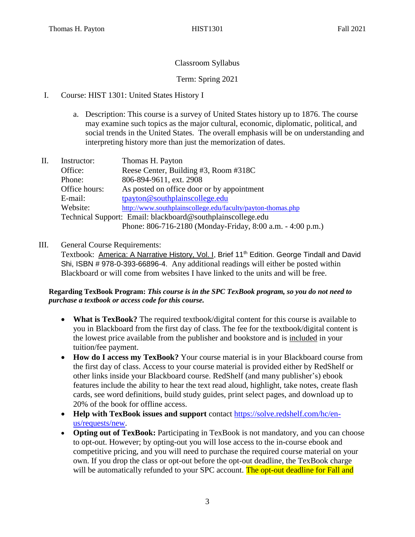# Classroom Syllabus

# Term: Spring 2021

- I. Course: HIST 1301: United States History I
	- a. Description: This course is a survey of United States history up to 1876. The course may examine such topics as the major cultural, economic, diplomatic, political, and social trends in the United States. The overall emphasis will be on understanding and interpreting history more than just the memorization of dates.
- II. Instructor: Thomas H. Payton Office: Reese Center, Building #3, Room #318C Phone: 806-894-9611, ext. 2908 Office hours: As posted on office door or by appointment E-mail: [tpayton@southplainscollege.edu](mailto:tpayton@southplainscollege.edu) Website: <http://www.southplainscollege.edu/faculty/payton-thomas.php> Technical Support: Email: blackboard@southplainscollege.edu Phone: 806-716-2180 (Monday-Friday, 8:00 a.m. - 4:00 p.m.)

# III. General Course Requirements:

Textbook: America: A Narrative History, Vol. I, Brief 11<sup>th</sup> Edition. George Tindall and David Shi, ISBN # 978-0-393-66896-4. Any additional readings will either be posted within Blackboard or will come from websites I have linked to the units and will be free.

## **Regarding TexBook Program:** *This course is in the SPC TexBook program, so you do not need to purchase a textbook or access code for this course.*

- **What is TexBook?** The required textbook/digital content for this course is available to you in Blackboard from the first day of class. The fee for the textbook/digital content is the lowest price available from the publisher and bookstore and is included in your tuition/fee payment.
- **How do I access my TexBook?** Your course material is in your Blackboard course from the first day of class. Access to your course material is provided either by RedShelf or other links inside your Blackboard course. RedShelf (and many publisher's) ebook features include the ability to hear the text read aloud, highlight, take notes, create flash cards, see word definitions, build study guides, print select pages, and download up to 20% of the book for offline access.
- **Help with TexBook issues and support** contact [https://solve.redshelf.com/hc/en](https://solve.redshelf.com/hc/en-us/requests/new)[us/requests/new.](https://solve.redshelf.com/hc/en-us/requests/new)
- **Opting out of TexBook:** Participating in TexBook is not mandatory, and you can choose to opt-out. However; by opting-out you will lose access to the in-course ebook and competitive pricing, and you will need to purchase the required course material on your own. If you drop the class or opt-out before the opt-out deadline, the TexBook charge will be automatically refunded to your SPC account. The opt-out deadline for Fall and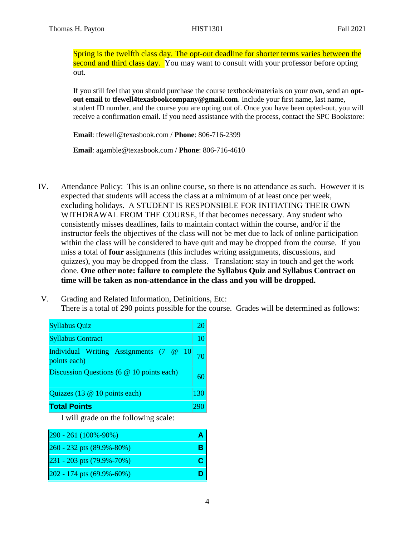Spring is the twelfth class day. The opt-out deadline for shorter terms varies between the second and third class day. You may want to consult with your professor before opting out.

If you still feel that you should purchase the course textbook/materials on your own, send an **optout email** to **tfewell4texasbookcompany@gmail.com**. Include your first name, last name, student ID number, and the course you are opting out of. Once you have been opted-out, you will receive a confirmation email. If you need assistance with the process, contact the SPC Bookstore:

**Email**: tfewell@texasbook.com / **Phone**: 806-716-2399

**Email**: agamble@texasbook.com / **Phone**: 806-716-4610

- IV. Attendance Policy: This is an online course, so there is no attendance as such. However it is expected that students will access the class at a minimum of at least once per week, excluding holidays. A STUDENT IS RESPONSIBLE FOR INITIATING THEIR OWN WITHDRAWAL FROM THE COURSE, if that becomes necessary. Any student who consistently misses deadlines, fails to maintain contact within the course, and/or if the instructor feels the objectives of the class will not be met due to lack of online participation within the class will be considered to have quit and may be dropped from the course. If you miss a total of **four** assignments (this includes writing assignments, discussions, and quizzes), you may be dropped from the class. Translation: stay in touch and get the work done. **One other note: failure to complete the Syllabus Quiz and Syllabus Contract on time will be taken as non-attendance in the class and you will be dropped.**
- V. Grading and Related Information, Definitions, Etc: There is a total of 290 points possible for the course. Grades will be determined as follows:

| <b>Syllabus Quiz</b>                                   |     |
|--------------------------------------------------------|-----|
| <b>Syllabus Contract</b>                               | 10  |
| Individual Writing Assignments (7 @ 10<br>points each) |     |
| Discussion Questions (6 @ 10 points each)              |     |
| Quizzes (13 @ 10 points each)                          | 130 |
| <b>Total Points</b>                                    |     |

I will grade on the following scale:

| 290 - 261 (100%-90%)      |  |
|---------------------------|--|
| 260 - 232 pts (89.9%-80%) |  |
| 231 - 203 pts (79.9%-70%) |  |
| 202 - 174 pts (69.9%-60%) |  |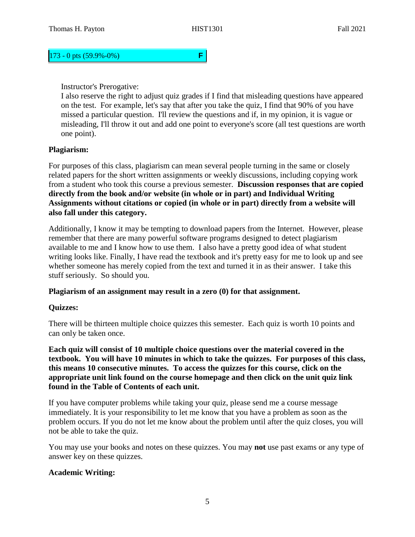## 173 - 0 pts (59.9%-0%) **F**

## Instructor's Prerogative:

I also reserve the right to adjust quiz grades if I find that misleading questions have appeared on the test. For example, let's say that after you take the quiz, I find that 90% of you have missed a particular question. I'll review the questions and if, in my opinion, it is vague or misleading, I'll throw it out and add one point to everyone's score (all test questions are worth one point).

## **Plagiarism:**

For purposes of this class, plagiarism can mean several people turning in the same or closely related papers for the short written assignments or weekly discussions, including copying work from a student who took this course a previous semester. **Discussion responses that are copied directly from the book and/or website (in whole or in part) and Individual Writing Assignments without citations or copied (in whole or in part) directly from a website will also fall under this category.** 

Additionally, I know it may be tempting to download papers from the Internet. However, please remember that there are many powerful software programs designed to detect plagiarism available to me and I know how to use them. I also have a pretty good idea of what student writing looks like. Finally, I have read the textbook and it's pretty easy for me to look up and see whether someone has merely copied from the text and turned it in as their answer. I take this stuff seriously. So should you.

## **Plagiarism of an assignment may result in a zero (0) for that assignment.**

## **Quizzes:**

There will be thirteen multiple choice quizzes this semester. Each quiz is worth 10 points and can only be taken once.

**Each quiz will consist of 10 multiple choice questions over the material covered in the textbook. You will have 10 minutes in which to take the quizzes. For purposes of this class, this means 10 consecutive minutes. To access the quizzes for this course, click on the appropriate unit link found on the course homepage and then click on the unit quiz link found in the Table of Contents of each unit.** 

If you have computer problems while taking your quiz, please send me a course message immediately. It is your responsibility to let me know that you have a problem as soon as the problem occurs. If you do not let me know about the problem until after the quiz closes, you will not be able to take the quiz.

You may use your books and notes on these quizzes. You may **not** use past exams or any type of answer key on these quizzes.

## **Academic Writing:**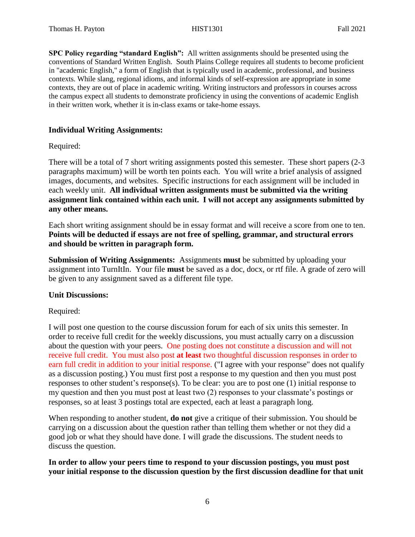**SPC Policy regarding "standard English":** All written assignments should be presented using the conventions of Standard Written English. South Plains College requires all students to become proficient in "academic English," a form of English that is typically used in academic, professional, and business contexts. While slang, regional idioms, and informal kinds of self-expression are appropriate in some contexts, they are out of place in academic writing. Writing instructors and professors in courses across the campus expect all students to demonstrate proficiency in using the conventions of academic English in their written work, whether it is in-class exams or take-home essays.

#### **Individual Writing Assignments:**

#### Required:

There will be a total of 7 short writing assignments posted this semester. These short papers (2-3 paragraphs maximum) will be worth ten points each. You will write a brief analysis of assigned images, documents, and websites. Specific instructions for each assignment will be included in each weekly unit. **All individual written assignments must be submitted via the writing assignment link contained within each unit. I will not accept any assignments submitted by any other means.**

Each short writing assignment should be in essay format and will receive a score from one to ten. **Points will be deducted if essays are not free of spelling, grammar, and structural errors and should be written in paragraph form.** 

**Submission of Writing Assignments:** Assignments **must** be submitted by uploading your assignment into TurnItIn. Your file **must** be saved as a doc, docx, or rtf file. A grade of zero will be given to any assignment saved as a different file type.

#### **Unit Discussions:**

## Required:

I will post one question to the course discussion forum for each of six units this semester. In order to receive full credit for the weekly discussions, you must actually carry on a discussion about the question with your peers. One posting does not constitute a discussion and will not receive full credit. You must also post **at least** two thoughtful discussion responses in order to earn full credit in addition to your initial response. ("I agree with your response" does not qualify as a discussion posting.) You must first post a response to my question and then you must post responses to other student's response(s). To be clear: you are to post one (1) initial response to my question and then you must post at least two (2) responses to your classmate's postings or responses, so at least 3 postings total are expected, each at least a paragraph long.

When responding to another student, **do not** give a critique of their submission. You should be carrying on a discussion about the question rather than telling them whether or not they did a good job or what they should have done. I will grade the discussions. The student needs to discuss the question.

## **In order to allow your peers time to respond to your discussion postings, you must post your initial response to the discussion question by the first discussion deadline for that unit**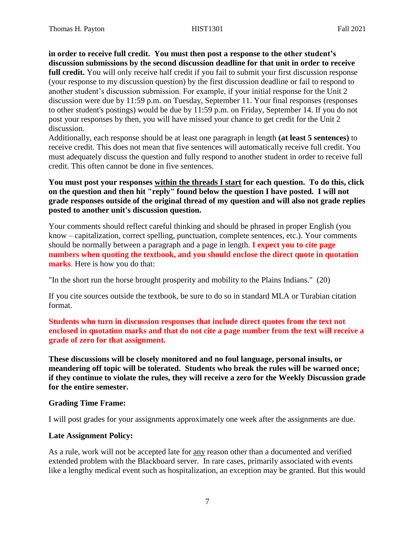**in order to receive full credit. You must then post a response to the other student's discussion submissions by the second discussion deadline for that unit in order to receive full credit.** You will only receive half credit if you fail to submit your first discussion response (your response to my discussion question) by the first discussion deadline or fail to respond to another student's discussion submission. For example, if your initial response for the Unit 2 discussion were due by 11:59 p.m. on Tuesday, September 11. Your final responses (responses to other student's postings) would be due by 11:59 p.m. on Friday, September 14. If you do not post your responses by then, you will have missed your chance to get credit for the Unit 2 discussion.

Additionally, each response should be at least one paragraph in length **(at least 5 sentences)** to receive credit. This does not mean that five sentences will automatically receive full credit. You must adequately discuss the question and fully respond to another student in order to receive full credit. This often cannot be done in five sentences.

**You must post your responses within the threads I start for each question. To do this, click on the question and then hit "reply" found below the question I have posted. I will not grade responses outside of the original thread of my question and will also not grade replies posted to another unit's discussion question.**

Your comments should reflect careful thinking and should be phrased in proper English (you know – capitalization, correct spelling, punctuation, complete sentences, etc.). Your comments should be normally between a paragraph and a page in length. **I expect you to cite page numbers when quoting the textbook, and you should enclose the direct quote in quotation marks**. Here is how you do that:

"In the short run the horse brought prosperity and mobility to the Plains Indians." (20)

If you cite sources outside the textbook, be sure to do so in standard MLA or Turabian citation format.

**Students who turn in discussion responses that include direct quotes from the text not enclosed in quotation marks and that do not cite a page number from the text will receive a grade of zero for that assignment.**

**These discussions will be closely monitored and no foul language, personal insults, or meandering off topic will be tolerated. Students who break the rules will be warned once; if they continue to violate the rules, they will receive a zero for the Weekly Discussion grade for the entire semester.** 

## **Grading Time Frame:**

I will post grades for your assignments approximately one week after the assignments are due.

## **Late Assignment Policy:**

As a rule, work will not be accepted late for any reason other than a documented and verified extended problem with the Blackboard server. In rare cases, primarily associated with events like a lengthy medical event such as hospitalization, an exception may be granted. But this would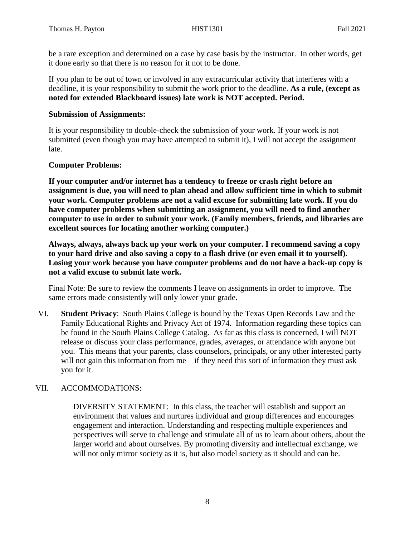be a rare exception and determined on a case by case basis by the instructor. In other words, get it done early so that there is no reason for it not to be done.

If you plan to be out of town or involved in any extracurricular activity that interferes with a deadline, it is your responsibility to submit the work prior to the deadline. **As a rule, (except as noted for extended Blackboard issues) late work is NOT accepted. Period.** 

## **Submission of Assignments:**

It is your responsibility to double-check the submission of your work. If your work is not submitted (even though you may have attempted to submit it), I will not accept the assignment late.

## **Computer Problems:**

**If your computer and/or internet has a tendency to freeze or crash right before an assignment is due, you will need to plan ahead and allow sufficient time in which to submit your work. Computer problems are not a valid excuse for submitting late work. If you do have computer problems when submitting an assignment, you will need to find another computer to use in order to submit your work. (Family members, friends, and libraries are excellent sources for locating another working computer.)**

**Always, always, always back up your work on your computer. I recommend saving a copy to your hard drive and also saving a copy to a flash drive (or even email it to yourself). Losing your work because you have computer problems and do not have a back-up copy is not a valid excuse to submit late work.**

Final Note: Be sure to review the comments I leave on assignments in order to improve. The same errors made consistently will only lower your grade.

VI. **Student Privacy**: South Plains College is bound by the Texas Open Records Law and the Family Educational Rights and Privacy Act of 1974. Information regarding these topics can be found in the South Plains College Catalog. As far as this class is concerned, I will NOT release or discuss your class performance, grades, averages, or attendance with anyone but you. This means that your parents, class counselors, principals, or any other interested party will not gain this information from me – if they need this sort of information they must ask you for it.

# VII. ACCOMMODATIONS:

DIVERSITY STATEMENT: In this class, the teacher will establish and support an environment that values and nurtures individual and group differences and encourages engagement and interaction. Understanding and respecting multiple experiences and perspectives will serve to challenge and stimulate all of us to learn about others, about the larger world and about ourselves. By promoting diversity and intellectual exchange, we will not only mirror society as it is, but also model society as it should and can be.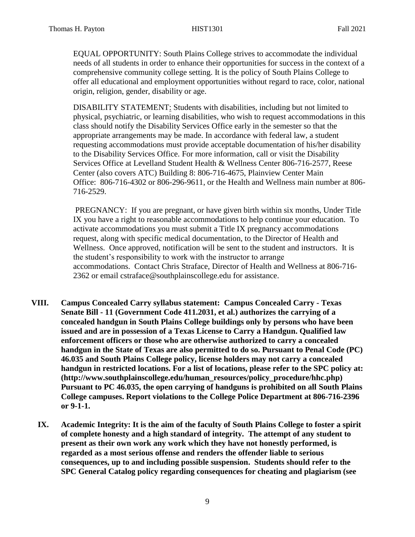EQUAL OPPORTUNITY: South Plains College strives to accommodate the individual needs of all students in order to enhance their opportunities for success in the context of a comprehensive community college setting. It is the policy of South Plains College to offer all educational and employment opportunities without regard to race, color, national origin, religion, gender, disability or age.

DISABILITY STATEMENT: Students with disabilities, including but not limited to physical, psychiatric, or learning disabilities, who wish to request accommodations in this class should notify the Disability Services Office early in the semester so that the appropriate arrangements may be made. In accordance with federal law, a student requesting accommodations must provide acceptable documentation of his/her disability to the Disability Services Office. For more information, call or visit the Disability Services Office at Levelland Student Health & Wellness Center 806-716-2577, Reese Center (also covers ATC) Building 8: 806-716-4675, Plainview Center Main Office: 806-716-4302 or 806-296-9611, or the Health and Wellness main number at 806- 716-2529.

PREGNANCY: If you are pregnant, or have given birth within six months, Under Title IX you have a right to reasonable accommodations to help continue your education. To activate accommodations you must submit a Title IX pregnancy accommodations request, along with specific medical documentation, to the Director of Health and Wellness. Once approved, notification will be sent to the student and instructors. It is the student's responsibility to work with the instructor to arrange accommodations. Contact Chris Straface, Director of Health and Wellness at 806-716- 2362 or email [cstraface@southplainscollege.edu](mailto:cstraface@southplainscollege.edu) for assistance.

- **VIII. Campus Concealed Carry syllabus statement: Campus Concealed Carry - Texas Senate Bill - 11 (Government Code 411.2031, et al.) authorizes the carrying of a concealed handgun in South Plains College buildings only by persons who have been issued and are in possession of a Texas License to Carry a Handgun. Qualified law enforcement officers or those who are otherwise authorized to carry a concealed handgun in the State of Texas are also permitted to do so. Pursuant to Penal Code (PC) 46.035 and South Plains College policy, license holders may not carry a concealed handgun in restricted locations. For a list of locations, please refer to the SPC policy at: (http://www.southplainscollege.edu/human\_resources/policy\_procedure/hhc.php) Pursuant to PC 46.035, the open carrying of handguns is prohibited on all South Plains College campuses. Report violations to the College Police Department at 806-716-2396 or 9-1-1.**
	- **IX. Academic Integrity: It is the aim of the faculty of South Plains College to foster a spirit of complete honesty and a high standard of integrity. The attempt of any student to present as their own work any work which they have not honestly performed, is regarded as a most serious offense and renders the offender liable to serious consequences, up to and including possible suspension. Students should refer to the SPC General Catalog policy regarding consequences for cheating and plagiarism (see**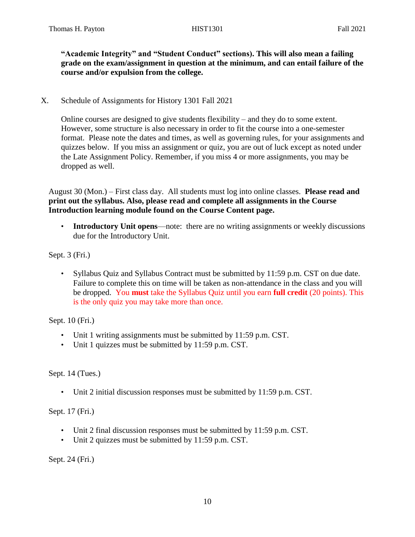**"Academic Integrity" and "Student Conduct" sections). This will also mean a failing grade on the exam/assignment in question at the minimum, and can entail failure of the course and/or expulsion from the college.** 

X. Schedule of Assignments for History 1301 Fall 2021

Online courses are designed to give students flexibility – and they do to some extent. However, some structure is also necessary in order to fit the course into a one-semester format. Please note the dates and times, as well as governing rules, for your assignments and quizzes below. If you miss an assignment or quiz, you are out of luck except as noted under the Late Assignment Policy. Remember, if you miss 4 or more assignments, you may be dropped as well.

August 30 (Mon.) – First class day. All students must log into online classes. **Please read and print out the syllabus. Also, please read and complete all assignments in the Course Introduction learning module found on the Course Content page.**

• **Introductory Unit opens**—note: there are no writing assignments or weekly discussions due for the Introductory Unit.

Sept. 3 (Fri.)

• Syllabus Quiz and Syllabus Contract must be submitted by 11:59 p.m. CST on due date. Failure to complete this on time will be taken as non-attendance in the class and you will be dropped. You **must** take the Syllabus Quiz until you earn **full credit** (20 points). This is the only quiz you may take more than once.

Sept. 10 (Fri.)

- Unit 1 writing assignments must be submitted by 11:59 p.m. CST.
- Unit 1 quizzes must be submitted by 11:59 p.m. CST.

Sept. 14 (Tues.)

• Unit 2 initial discussion responses must be submitted by 11:59 p.m. CST.

Sept. 17 (Fri.)

- Unit 2 final discussion responses must be submitted by 11:59 p.m. CST.
- Unit 2 quizzes must be submitted by 11:59 p.m. CST.

Sept. 24 (Fri.)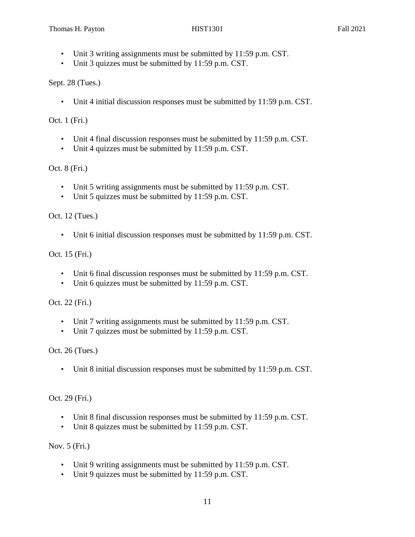- Unit 3 writing assignments must be submitted by 11:59 p.m. CST.
- Unit 3 quizzes must be submitted by 11:59 p.m. CST.

Sept. 28 (Tues.)

• Unit 4 initial discussion responses must be submitted by 11:59 p.m. CST.

Oct. 1 (Fri.)

- Unit 4 final discussion responses must be submitted by 11:59 p.m. CST.
- Unit 4 quizzes must be submitted by 11:59 p.m. CST.

Oct. 8 (Fri.)

- Unit 5 writing assignments must be submitted by 11:59 p.m. CST.
- Unit 5 quizzes must be submitted by 11:59 p.m. CST.

Oct. 12 (Tues.)

• Unit 6 initial discussion responses must be submitted by 11:59 p.m. CST.

Oct. 15 (Fri.)

- Unit 6 final discussion responses must be submitted by 11:59 p.m. CST.
- Unit 6 quizzes must be submitted by 11:59 p.m. CST.

Oct. 22 (Fri.)

- Unit 7 writing assignments must be submitted by 11:59 p.m. CST.
- Unit 7 quizzes must be submitted by 11:59 p.m. CST.

Oct. 26 (Tues.)

• Unit 8 initial discussion responses must be submitted by 11:59 p.m. CST.

Oct. 29 (Fri.)

- Unit 8 final discussion responses must be submitted by 11:59 p.m. CST.
- Unit 8 quizzes must be submitted by 11:59 p.m. CST.

Nov. 5 (Fri.)

- Unit 9 writing assignments must be submitted by 11:59 p.m. CST.
- Unit 9 quizzes must be submitted by 11:59 p.m. CST.